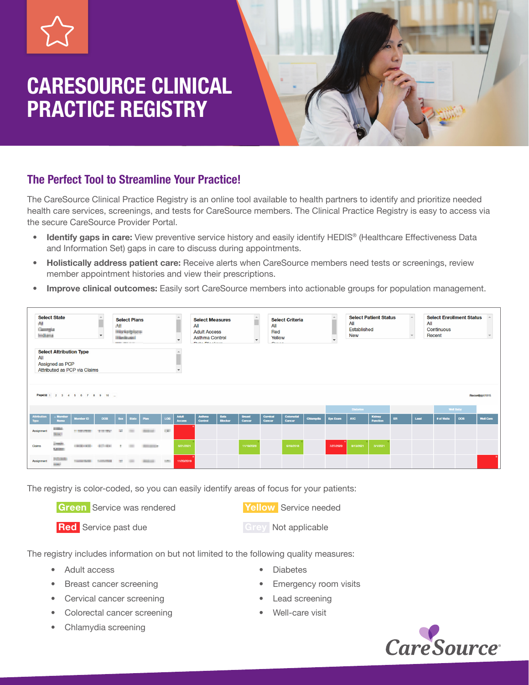# CARESOURCE CLINICAL PRACTICE REGISTRY



# The Perfect Tool to Streamline Your Practice!

The CareSource Clinical Practice Registry is an online tool available to health partners to identify and prioritize needed health care services, screenings, and tests for CareSource members. The Clinical Practice Registry is easy to access via the secure CareSource Provider Portal.

- Identify gaps in care: View preventive service history and easily identify HEDIS® (Healthcare Effectiveness Data and Information Set) gaps in care to discuss during appointments.
- Holistically address patient care: Receive alerts when CareSource members need tests or screenings, review member appointment histories and view their prescriptions.
- Improve clinical outcomes: Easily sort CareSource members into actionable groups for population management.

| <b>Select State</b><br>Aì.<br>Georgia<br><b><i><u>International</u></i></b> | $\hat{ }$<br>$\overline{\phantom{a}}$                                                                                                 | <b>Select Plans</b><br>AB.<br><b>They keep local</b><br><b>Hillard Avenue</b><br><b>PRODUCT CORPORATION</b> |                               |              |              | <b>Select Measures</b><br>All<br><b>Adult Access</b><br><b>Asthma Control</b><br>$\mathbf{v}$<br>Data Disalism |              |                               | A<br>$\sim$<br>$\blacktriangledown$ | <b>Select Criteria</b><br>All<br>Red<br>Yellow<br>$\sim$ |                         |                    | $\hat{\phantom{a}}$<br>$\overline{\phantom{a}}$ | <b>Select Patient Status</b><br>All<br><b>Established</b><br><b>New</b> |                 |                 |                    | <b>Select Enrollment Status</b><br>All<br>Continuous<br>Recent |      |                  |            |                  |
|-----------------------------------------------------------------------------|---------------------------------------------------------------------------------------------------------------------------------------|-------------------------------------------------------------------------------------------------------------|-------------------------------|--------------|--------------|----------------------------------------------------------------------------------------------------------------|--------------|-------------------------------|-------------------------------------|----------------------------------------------------------|-------------------------|--------------------|-------------------------------------------------|-------------------------------------------------------------------------|-----------------|-----------------|--------------------|----------------------------------------------------------------|------|------------------|------------|------------------|
| All                                                                         | <b>Select Attribution Type</b><br>Assigned as PCP<br>Attributed as PCP via Claims<br>Page(s): 1 2 3 4 5 6 7 8 9 10<br>Record(s):61015 |                                                                                                             |                               |              |              |                                                                                                                |              |                               |                                     |                                                          |                         |                    |                                                 |                                                                         |                 |                 |                    |                                                                |      |                  |            |                  |
|                                                                             |                                                                                                                                       |                                                                                                             |                               |              |              |                                                                                                                |              |                               |                                     |                                                          |                         |                    |                                                 |                                                                         | <b>Diabetes</b> |                 |                    |                                                                |      | <b>Well Baby</b> |            |                  |
| <b>Attribution</b><br>Type                                                  | <b>Mombor</b><br><b>Namo</b>                                                                                                          | Momber ID                                                                                                   | <b>DOB</b>                    | Sex :        | <b>State</b> | Plan                                                                                                           | LOB          | <b>Adult</b><br><b>Access</b> | <b>Asthma</b><br>Control            | <b>Beta</b><br><b>Blocker</b>                            | <b>Breast</b><br>Cancer | Cervical<br>Cancor | Colorectal<br>Cancer                            | Chlamydia                                                               | <b>Eye Exam</b> | A <sub>1C</sub> | Kidney<br>Function | ER                                                             | Lead | # of Visits      | <b>DOS</b> | <b>Well Care</b> |
| Assignment                                                                  | <b>STARTING</b><br><b>Since</b>                                                                                                       | <b>PERMITES</b>                                                                                             | <b>TERRITORY</b>              | $\mathbf{u}$ | m            |                                                                                                                | $\sim 10$    |                               |                                     |                                                          |                         |                    |                                                 |                                                                         |                 |                 |                    |                                                                |      |                  |            |                  |
| Claims                                                                      | <b>Complete</b><br><b>Automotive</b>                                                                                                  | <b>CONTRACTOR</b>                                                                                           | <b>Billion</b>                | <b>ISS</b>   | m            | <b>CONTRACTOR</b>                                                                                              |              | 6/21/2021                     |                                     |                                                          | 11/19/2020              |                    | 6/18/2018                                       |                                                                         | 7/27/2020       | 8/13/2021       | 3/1/2021           |                                                                |      |                  |            |                  |
| Assignment                                                                  | <b>Policink</b><br><b>Hotel</b>                                                                                                       | Contract Building                                                                                           | <b><i>PLASHER</i></b> PRINTER | <b>ISBN</b>  |              | <b>CONSULTANT</b>                                                                                              | <b>STATE</b> | 11/20/2019                    |                                     |                                                          |                         |                    |                                                 |                                                                         |                 |                 |                    |                                                                |      |                  |            |                  |

The registry is color-coded, so you can easily identify areas of focus for your patients:

**Green** Service was rendered **Tellow** Service needed

**Red** Service past due<br> **Red** Service past due

The registry includes information on but not limited to the following quality measures:

- Adult access
- Breast cancer screening
- Cervical cancer screening
- Colorectal cancer screening
- Chlamydia screening
- **Diabetes**
- Emergency room visits
- Lead screening
- Well-care visit